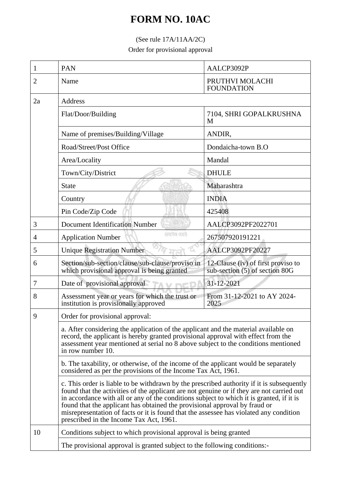## **FORM NO. 10AC**

## (See rule 17A/11AA/2C)

Order for provisional approval

| 1  | PAN                                                                                                                                                                                                                                                                                                                                                                                                                                                                                                                                                                                                                                                                                                                                                                                                                                                                                                                                                                                     | AALCP3092P                                                           |  |
|----|-----------------------------------------------------------------------------------------------------------------------------------------------------------------------------------------------------------------------------------------------------------------------------------------------------------------------------------------------------------------------------------------------------------------------------------------------------------------------------------------------------------------------------------------------------------------------------------------------------------------------------------------------------------------------------------------------------------------------------------------------------------------------------------------------------------------------------------------------------------------------------------------------------------------------------------------------------------------------------------------|----------------------------------------------------------------------|--|
| 2  | Name                                                                                                                                                                                                                                                                                                                                                                                                                                                                                                                                                                                                                                                                                                                                                                                                                                                                                                                                                                                    | PRUTHVI MOLACHI<br><b>FOUNDATION</b>                                 |  |
| 2a | Address                                                                                                                                                                                                                                                                                                                                                                                                                                                                                                                                                                                                                                                                                                                                                                                                                                                                                                                                                                                 |                                                                      |  |
|    | Flat/Door/Building                                                                                                                                                                                                                                                                                                                                                                                                                                                                                                                                                                                                                                                                                                                                                                                                                                                                                                                                                                      | 7104, SHRI GOPALKRUSHNA<br>M                                         |  |
|    | Name of premises/Building/Village                                                                                                                                                                                                                                                                                                                                                                                                                                                                                                                                                                                                                                                                                                                                                                                                                                                                                                                                                       | ANDIR,                                                               |  |
|    | Road/Street/Post Office                                                                                                                                                                                                                                                                                                                                                                                                                                                                                                                                                                                                                                                                                                                                                                                                                                                                                                                                                                 | Dondaicha-town B.O                                                   |  |
|    | Area/Locality                                                                                                                                                                                                                                                                                                                                                                                                                                                                                                                                                                                                                                                                                                                                                                                                                                                                                                                                                                           | Mandal                                                               |  |
|    | Town/City/District                                                                                                                                                                                                                                                                                                                                                                                                                                                                                                                                                                                                                                                                                                                                                                                                                                                                                                                                                                      | <b>DHULE</b>                                                         |  |
|    | <b>State</b>                                                                                                                                                                                                                                                                                                                                                                                                                                                                                                                                                                                                                                                                                                                                                                                                                                                                                                                                                                            | Maharashtra                                                          |  |
|    | Country                                                                                                                                                                                                                                                                                                                                                                                                                                                                                                                                                                                                                                                                                                                                                                                                                                                                                                                                                                                 | <b>INDIA</b>                                                         |  |
|    | Pin Code/Zip Code                                                                                                                                                                                                                                                                                                                                                                                                                                                                                                                                                                                                                                                                                                                                                                                                                                                                                                                                                                       | 425408                                                               |  |
| 3  | <b>Document Identification Number</b>                                                                                                                                                                                                                                                                                                                                                                                                                                                                                                                                                                                                                                                                                                                                                                                                                                                                                                                                                   | AALCP3092PF2022701                                                   |  |
| 4  | सम्प्रमेश क्याते<br><b>Application Number</b>                                                                                                                                                                                                                                                                                                                                                                                                                                                                                                                                                                                                                                                                                                                                                                                                                                                                                                                                           | 267507920191221                                                      |  |
| 5  | <b>Unique Registration Number</b>                                                                                                                                                                                                                                                                                                                                                                                                                                                                                                                                                                                                                                                                                                                                                                                                                                                                                                                                                       | AALCP3092PF20227                                                     |  |
| 6  | Section/sub-section/clause/sub-clause/proviso in<br>which provisional approval is being granted                                                                                                                                                                                                                                                                                                                                                                                                                                                                                                                                                                                                                                                                                                                                                                                                                                                                                         | 12-Clause (iv) of first proviso to<br>sub-section (5) of section 80G |  |
| 7  | Date of provisional approval                                                                                                                                                                                                                                                                                                                                                                                                                                                                                                                                                                                                                                                                                                                                                                                                                                                                                                                                                            | 31-12-2021                                                           |  |
| 8  | Assessment year or years for which the trust or<br>institution is provisionally approved                                                                                                                                                                                                                                                                                                                                                                                                                                                                                                                                                                                                                                                                                                                                                                                                                                                                                                | From 31-12-2021 to AY 2024-<br>2025                                  |  |
| 9  | Order for provisional approval:<br>a. After considering the application of the applicant and the material available on<br>record, the applicant is hereby granted provisional approval with effect from the<br>assessment year mentioned at serial no 8 above subject to the conditions mentioned<br>in row number 10.<br>b. The taxability, or otherwise, of the income of the applicant would be separately<br>considered as per the provisions of the Income Tax Act, 1961.<br>c. This order is liable to be withdrawn by the prescribed authority if it is subsequently<br>found that the activities of the applicant are not genuine or if they are not carried out<br>in accordance with all or any of the conditions subject to which it is granted, if it is<br>found that the applicant has obtained the provisional approval by fraud or<br>misrepresentation of facts or it is found that the assessee has violated any condition<br>prescribed in the Income Tax Act, 1961. |                                                                      |  |
|    |                                                                                                                                                                                                                                                                                                                                                                                                                                                                                                                                                                                                                                                                                                                                                                                                                                                                                                                                                                                         |                                                                      |  |
|    |                                                                                                                                                                                                                                                                                                                                                                                                                                                                                                                                                                                                                                                                                                                                                                                                                                                                                                                                                                                         |                                                                      |  |
|    |                                                                                                                                                                                                                                                                                                                                                                                                                                                                                                                                                                                                                                                                                                                                                                                                                                                                                                                                                                                         |                                                                      |  |
| 10 | Conditions subject to which provisional approval is being granted<br>The provisional approval is granted subject to the following conditions:-                                                                                                                                                                                                                                                                                                                                                                                                                                                                                                                                                                                                                                                                                                                                                                                                                                          |                                                                      |  |
|    |                                                                                                                                                                                                                                                                                                                                                                                                                                                                                                                                                                                                                                                                                                                                                                                                                                                                                                                                                                                         |                                                                      |  |